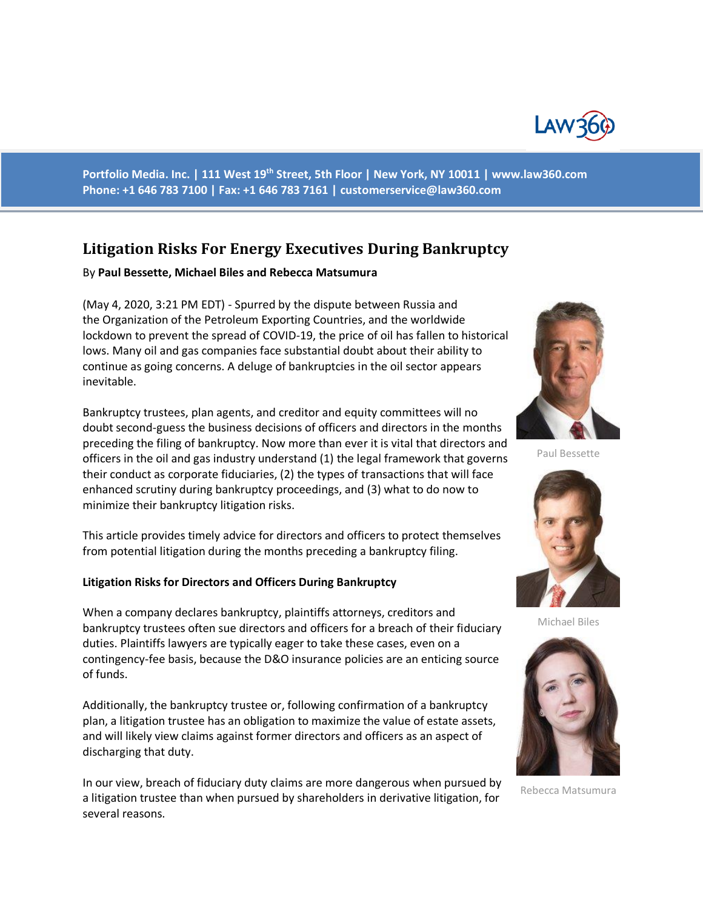

**Portfolio Media. Inc. | 111 West 19th Street, 5th Floor | New York, NY 10011 | www.law360.com Phone: +1 646 783 7100 | Fax: +1 646 783 7161 | [customerservice@law360.com](mailto:customerservice@law360.com)**

# **Litigation Risks For Energy Executives During Bankruptcy**

#### By **Paul Bessette, Michael Biles and Rebecca Matsumura**

(May 4, 2020, 3:21 PM EDT) - Spurred by the dispute between Russia and the Organization of the Petroleum Exporting Countries, and the worldwide lockdown to prevent the spread of COVID-19, the price of oil has fallen to historical lows. Many oil and gas companies face substantial doubt about their ability to continue as going concerns. A deluge of bankruptcies in the oil sector appears inevitable.

Bankruptcy trustees, plan agents, and creditor and equity committees will no doubt second-guess the business decisions of officers and directors in the months preceding the filing of bankruptcy. Now more than ever it is vital that directors and officers in the oil and gas industry understand (1) the legal framework that governs their conduct as corporate fiduciaries, (2) the types of transactions that will face enhanced scrutiny during bankruptcy proceedings, and (3) what to do now to minimize their bankruptcy litigation risks.

This article provides timely advice for directors and officers to protect themselves from potential litigation during the months preceding a bankruptcy filing.

## **Litigation Risks for Directors and Officers During Bankruptcy**

When a company declares bankruptcy, plaintiffs attorneys, creditors and bankruptcy trustees often sue directors and officers for a breach of their fiduciary duties. Plaintiffs lawyers are typically eager to take these cases, even on a contingency-fee basis, because the D&O insurance policies are an enticing source of funds.

Additionally, the bankruptcy trustee or, following confirmation of a bankruptcy plan, a litigation trustee has an obligation to maximize the value of estate assets, and will likely view claims against former directors and officers as an aspect of discharging that duty.

In our view, breach of fiduciary duty claims are more dangerous when pursued by a litigation trustee than when pursued by shareholders in derivative litigation, for several reasons.



Paul Bessette



Michael Biles



Rebecca Matsumura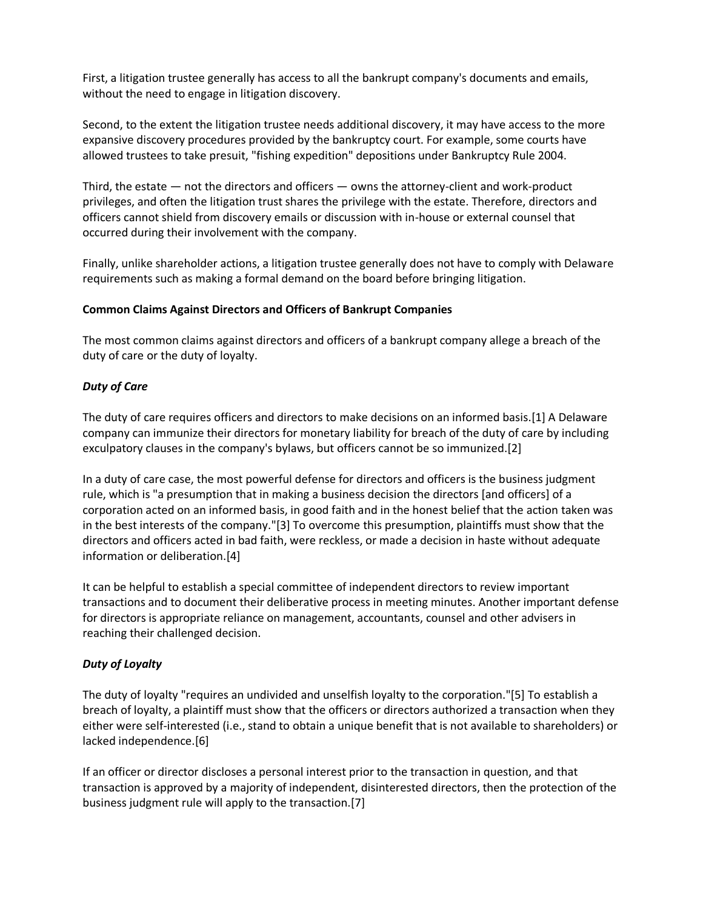First, a litigation trustee generally has access to all the bankrupt company's documents and emails, without the need to engage in litigation discovery.

Second, to the extent the litigation trustee needs additional discovery, it may have access to the more expansive discovery procedures provided by the bankruptcy court. For example, some courts have allowed trustees to take presuit, "fishing expedition" depositions under Bankruptcy Rule 2004.

Third, the estate — not the directors and officers — owns the attorney-client and work-product privileges, and often the litigation trust shares the privilege with the estate. Therefore, directors and officers cannot shield from discovery emails or discussion with in-house or external counsel that occurred during their involvement with the company.

Finally, unlike shareholder actions, a litigation trustee generally does not have to comply with Delaware requirements such as making a formal demand on the board before bringing litigation.

## **Common Claims Against Directors and Officers of Bankrupt Companies**

The most common claims against directors and officers of a bankrupt company allege a breach of the duty of care or the duty of loyalty.

## *Duty of Care*

The duty of care requires officers and directors to make decisions on an informed basis.[1] A Delaware company can immunize their directors for monetary liability for breach of the duty of care by including exculpatory clauses in the company's bylaws, but officers cannot be so immunized.[2]

In a duty of care case, the most powerful defense for directors and officers is the business judgment rule, which is "a presumption that in making a business decision the directors [and officers] of a corporation acted on an informed basis, in good faith and in the honest belief that the action taken was in the best interests of the company."[3] To overcome this presumption, plaintiffs must show that the directors and officers acted in bad faith, were reckless, or made a decision in haste without adequate information or deliberation.[4]

It can be helpful to establish a special committee of independent directors to review important transactions and to document their deliberative process in meeting minutes. Another important defense for directors is appropriate reliance on management, accountants, counsel and other advisers in reaching their challenged decision.

## *Duty of Loyalty*

The duty of loyalty "requires an undivided and unselfish loyalty to the corporation."[5] To establish a breach of loyalty, a plaintiff must show that the officers or directors authorized a transaction when they either were self-interested (i.e., stand to obtain a unique benefit that is not available to shareholders) or lacked independence.[6]

If an officer or director discloses a personal interest prior to the transaction in question, and that transaction is approved by a majority of independent, disinterested directors, then the protection of the business judgment rule will apply to the transaction.[7]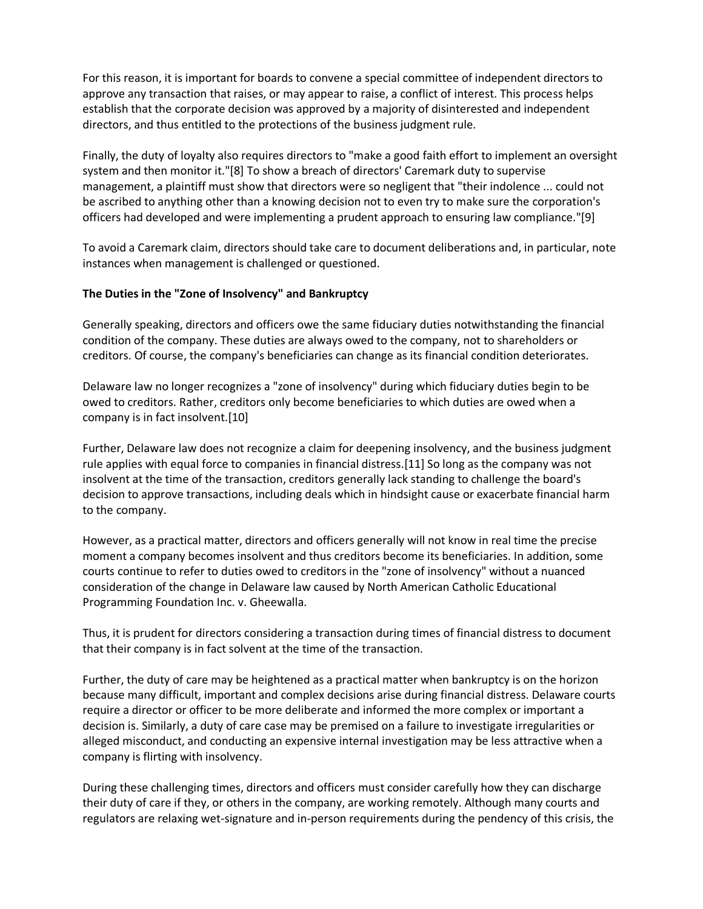For this reason, it is important for boards to convene a special committee of independent directors to approve any transaction that raises, or may appear to raise, a conflict of interest. This process helps establish that the corporate decision was approved by a majority of disinterested and independent directors, and thus entitled to the protections of the business judgment rule.

Finally, the duty of loyalty also requires directors to "make a good faith effort to implement an oversight system and then monitor it."[8] To show a breach of directors' Caremark duty to supervise management, a plaintiff must show that directors were so negligent that "their indolence ... could not be ascribed to anything other than a knowing decision not to even try to make sure the corporation's officers had developed and were implementing a prudent approach to ensuring law compliance."[9]

To avoid a Caremark claim, directors should take care to document deliberations and, in particular, note instances when management is challenged or questioned.

## **The Duties in the "Zone of Insolvency" and Bankruptcy**

Generally speaking, directors and officers owe the same fiduciary duties notwithstanding the financial condition of the company. These duties are always owed to the company, not to shareholders or creditors. Of course, the company's beneficiaries can change as its financial condition deteriorates.

Delaware law no longer recognizes a "zone of insolvency" during which fiduciary duties begin to be owed to creditors. Rather, creditors only become beneficiaries to which duties are owed when a company is in fact insolvent.[10]

Further, Delaware law does not recognize a claim for deepening insolvency, and the business judgment rule applies with equal force to companies in financial distress.[11] So long as the company was not insolvent at the time of the transaction, creditors generally lack standing to challenge the board's decision to approve transactions, including deals which in hindsight cause or exacerbate financial harm to the company.

However, as a practical matter, directors and officers generally will not know in real time the precise moment a company becomes insolvent and thus creditors become its beneficiaries. In addition, some courts continue to refer to duties owed to creditors in the "zone of insolvency" without a nuanced consideration of the change in Delaware law caused by North American Catholic Educational Programming Foundation Inc. v. Gheewalla.

Thus, it is prudent for directors considering a transaction during times of financial distress to document that their company is in fact solvent at the time of the transaction.

Further, the duty of care may be heightened as a practical matter when bankruptcy is on the horizon because many difficult, important and complex decisions arise during financial distress. Delaware courts require a director or officer to be more deliberate and informed the more complex or important a decision is. Similarly, a duty of care case may be premised on a failure to investigate irregularities or alleged misconduct, and conducting an expensive internal investigation may be less attractive when a company is flirting with insolvency.

During these challenging times, directors and officers must consider carefully how they can discharge their duty of care if they, or others in the company, are working remotely. Although many courts and regulators are relaxing wet-signature and in-person requirements during the pendency of this crisis, the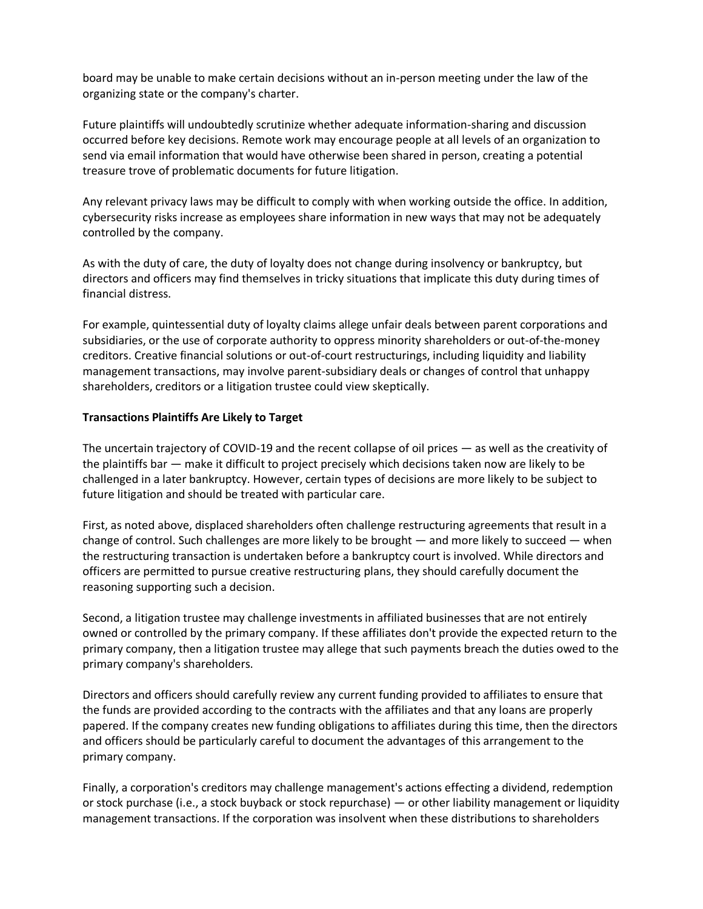board may be unable to make certain decisions without an in-person meeting under the law of the organizing state or the company's charter.

Future plaintiffs will undoubtedly scrutinize whether adequate information-sharing and discussion occurred before key decisions. Remote work may encourage people at all levels of an organization to send via email information that would have otherwise been shared in person, creating a potential treasure trove of problematic documents for future litigation.

Any relevant privacy laws may be difficult to comply with when working outside the office. In addition, cybersecurity risks increase as employees share information in new ways that may not be adequately controlled by the company.

As with the duty of care, the duty of loyalty does not change during insolvency or bankruptcy, but directors and officers may find themselves in tricky situations that implicate this duty during times of financial distress.

For example, quintessential duty of loyalty claims allege unfair deals between parent corporations and subsidiaries, or the use of corporate authority to oppress minority shareholders or out-of-the-money creditors. Creative financial solutions or out-of-court restructurings, including liquidity and liability management transactions, may involve parent-subsidiary deals or changes of control that unhappy shareholders, creditors or a litigation trustee could view skeptically.

## **Transactions Plaintiffs Are Likely to Target**

The uncertain trajectory of COVID-19 and the recent collapse of oil prices — as well as the creativity of the plaintiffs bar — make it difficult to project precisely which decisions taken now are likely to be challenged in a later bankruptcy. However, certain types of decisions are more likely to be subject to future litigation and should be treated with particular care.

First, as noted above, displaced shareholders often challenge restructuring agreements that result in a change of control. Such challenges are more likely to be brought — and more likely to succeed — when the restructuring transaction is undertaken before a bankruptcy court is involved. While directors and officers are permitted to pursue creative restructuring plans, they should carefully document the reasoning supporting such a decision.

Second, a litigation trustee may challenge investments in affiliated businesses that are not entirely owned or controlled by the primary company. If these affiliates don't provide the expected return to the primary company, then a litigation trustee may allege that such payments breach the duties owed to the primary company's shareholders.

Directors and officers should carefully review any current funding provided to affiliates to ensure that the funds are provided according to the contracts with the affiliates and that any loans are properly papered. If the company creates new funding obligations to affiliates during this time, then the directors and officers should be particularly careful to document the advantages of this arrangement to the primary company.

Finally, a corporation's creditors may challenge management's actions effecting a dividend, redemption or stock purchase (i.e., a stock buyback or stock repurchase) — or other liability management or liquidity management transactions. If the corporation was insolvent when these distributions to shareholders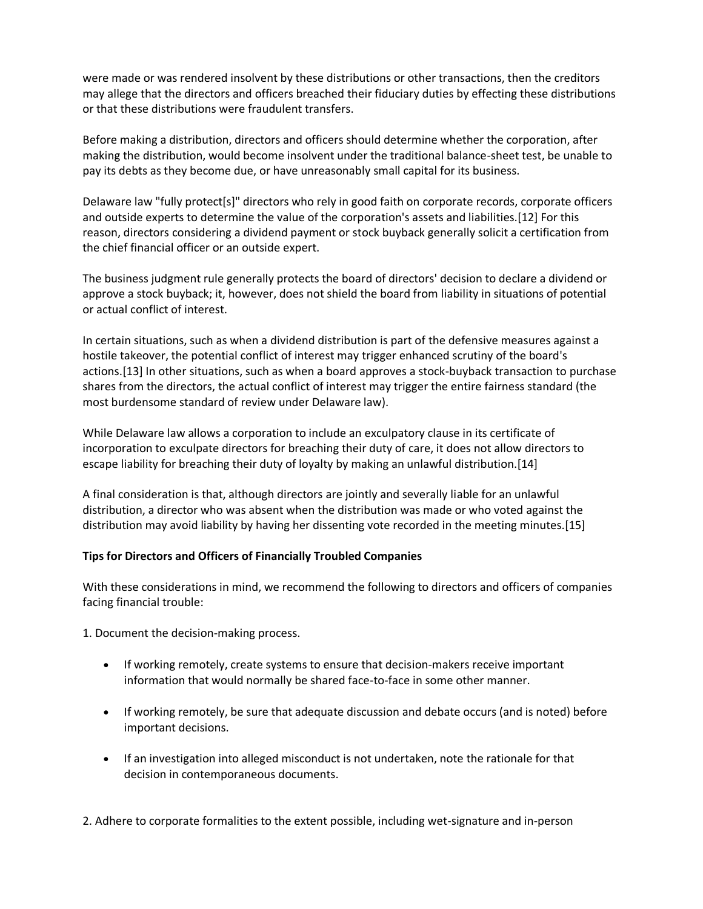were made or was rendered insolvent by these distributions or other transactions, then the creditors may allege that the directors and officers breached their fiduciary duties by effecting these distributions or that these distributions were fraudulent transfers.

Before making a distribution, directors and officers should determine whether the corporation, after making the distribution, would become insolvent under the traditional balance-sheet test, be unable to pay its debts as they become due, or have unreasonably small capital for its business.

Delaware law "fully protect[s]" directors who rely in good faith on corporate records, corporate officers and outside experts to determine the value of the corporation's assets and liabilities.[12] For this reason, directors considering a dividend payment or stock buyback generally solicit a certification from the chief financial officer or an outside expert.

The business judgment rule generally protects the board of directors' decision to declare a dividend or approve a stock buyback; it, however, does not shield the board from liability in situations of potential or actual conflict of interest.

In certain situations, such as when a dividend distribution is part of the defensive measures against a hostile takeover, the potential conflict of interest may trigger enhanced scrutiny of the board's actions.[13] In other situations, such as when a board approves a stock-buyback transaction to purchase shares from the directors, the actual conflict of interest may trigger the entire fairness standard (the most burdensome standard of review under Delaware law).

While Delaware law allows a corporation to include an exculpatory clause in its certificate of incorporation to exculpate directors for breaching their duty of care, it does not allow directors to escape liability for breaching their duty of loyalty by making an unlawful distribution.[14]

A final consideration is that, although directors are jointly and severally liable for an unlawful distribution, a director who was absent when the distribution was made or who voted against the distribution may avoid liability by having her dissenting vote recorded in the meeting minutes.[15]

## **Tips for Directors and Officers of Financially Troubled Companies**

With these considerations in mind, we recommend the following to directors and officers of companies facing financial trouble:

1. Document the decision-making process.

- If working remotely, create systems to ensure that decision-makers receive important information that would normally be shared face-to-face in some other manner.
- If working remotely, be sure that adequate discussion and debate occurs (and is noted) before important decisions.
- If an investigation into alleged misconduct is not undertaken, note the rationale for that decision in contemporaneous documents.

2. Adhere to corporate formalities to the extent possible, including wet-signature and in-person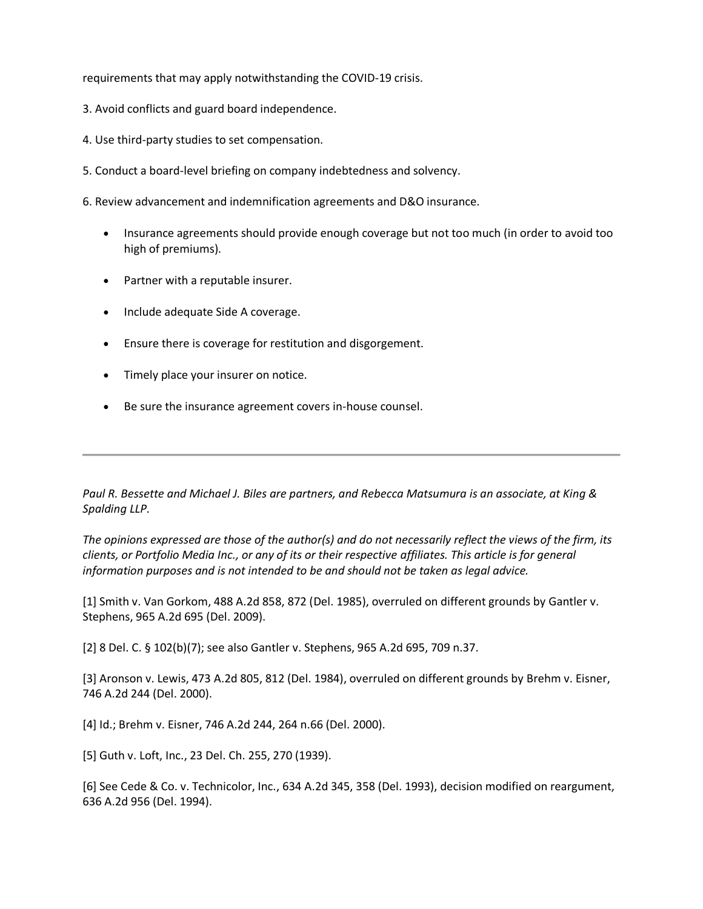requirements that may apply notwithstanding the COVID-19 crisis.

- 3. Avoid conflicts and guard board independence.
- 4. Use third-party studies to set compensation.
- 5. Conduct a board-level briefing on company indebtedness and solvency.
- 6. Review advancement and indemnification agreements and D&O insurance.
	- Insurance agreements should provide enough coverage but not too much (in order to avoid too high of premiums).
	- Partner with a reputable insurer.
	- Include adequate Side A coverage.
	- Ensure there is coverage for restitution and disgorgement.
	- Timely place your insurer on notice.
	- Be sure the insurance agreement covers in-house counsel.

*Paul R. Bessette and Michael J. Biles are partners, and Rebecca Matsumura is an associate, at King & Spalding LLP.*

*The opinions expressed are those of the author(s) and do not necessarily reflect the views of the firm, its clients, or Portfolio Media Inc., or any of its or their respective affiliates. This article is for general information purposes and is not intended to be and should not be taken as legal advice.*

[1] Smith v. Van Gorkom, 488 A.2d 858, 872 (Del. 1985), overruled on different grounds by Gantler v. Stephens, 965 A.2d 695 (Del. 2009).

[2] 8 Del. C. § 102(b)(7); see also Gantler v. Stephens, 965 A.2d 695, 709 n.37.

[3] Aronson v. Lewis, 473 A.2d 805, 812 (Del. 1984), overruled on different grounds by Brehm v. Eisner, 746 A.2d 244 (Del. 2000).

[4] Id.; Brehm v. Eisner, 746 A.2d 244, 264 n.66 (Del. 2000).

[5] Guth v. Loft, Inc., 23 Del. Ch. 255, 270 (1939).

[6] See Cede & Co. v. Technicolor, Inc., 634 A.2d 345, 358 (Del. 1993), decision modified on reargument, 636 A.2d 956 (Del. 1994).